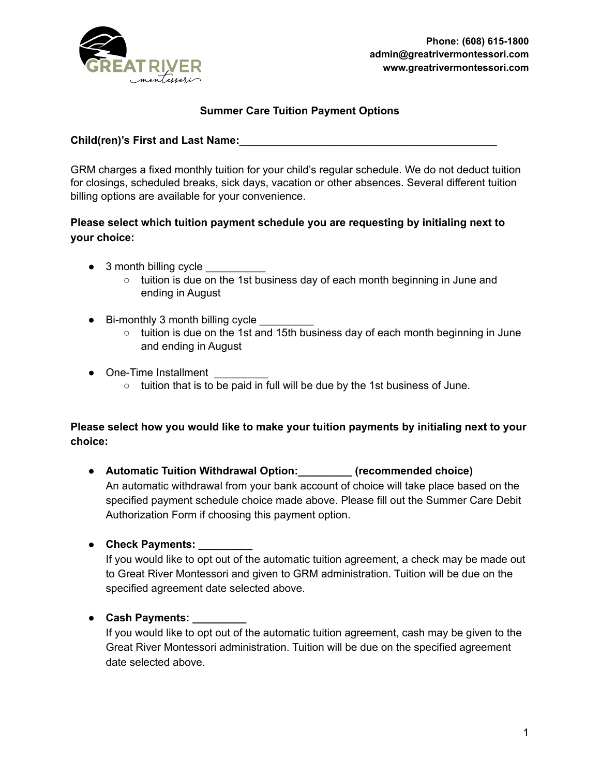

## **Summer Care Tuition Payment Options**

**Child(ren)'s First and Last Name:**\_\_\_\_\_\_\_\_\_\_\_\_\_\_\_\_\_\_\_\_\_\_\_\_\_\_\_\_\_\_\_\_\_\_\_\_\_\_\_\_\_\_\_

GRM charges a fixed monthly tuition for your child's regular schedule. We do not deduct tuition for closings, scheduled breaks, sick days, vacation or other absences. Several different tuition billing options are available for your convenience.

## **Please select which tuition payment schedule you are requesting by initialing next to your choice:**

- $\bullet$  3 month billing cycle
	- tuition is due on the 1st business day of each month beginning in June and ending in August
- Bi-monthly 3 month billing cycle
	- tuition is due on the 1st and 15th business day of each month beginning in June and ending in August
- One-Time Installment
	- tuition that is to be paid in full will be due by the 1st business of June.

## **Please select how you would like to make your tuition payments by initialing next to your choice:**

- **● Automatic Tuition Withdrawal Option:\_\_\_\_\_\_\_\_\_ (recommended choice)** An automatic withdrawal from your bank account of choice will take place based on the specified payment schedule choice made above. Please fill out the Summer Care Debit Authorization Form if choosing this payment option.
- **● Check Payments: \_\_\_\_\_\_\_\_\_**

If you would like to opt out of the automatic tuition agreement, a check may be made out to Great River Montessori and given to GRM administration. Tuition will be due on the specified agreement date selected above.

● **Cash Payments: \_\_\_\_\_\_\_\_\_**

If you would like to opt out of the automatic tuition agreement, cash may be given to the Great River Montessori administration. Tuition will be due on the specified agreement date selected above.